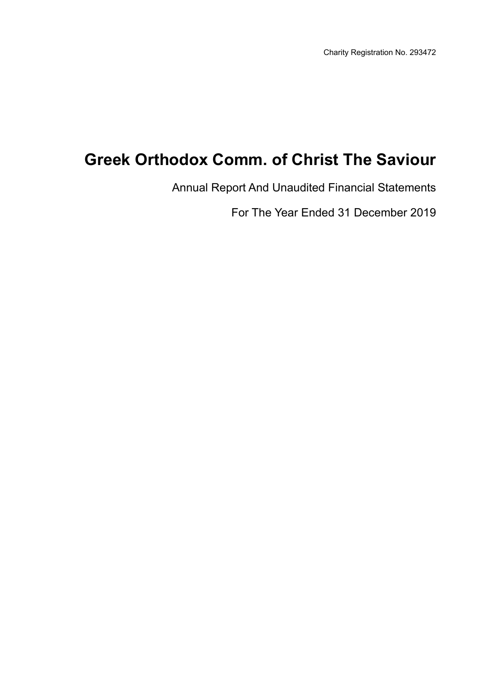Annual Report And Unaudited Financial Statements

For The Year Ended 31 December 2019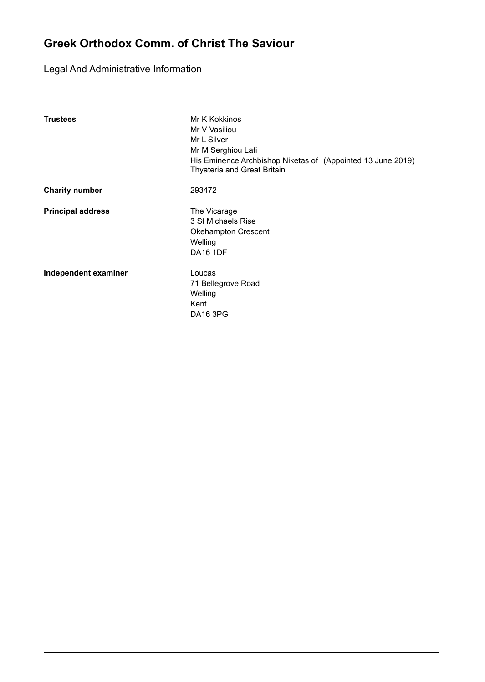Legal And Administrative Information

| <b>Trustees</b>          | Mr K Kokkinos<br>Mr V Vasiliou<br>Mr L Silver<br>Mr M Serghiou Lati<br>His Eminence Archbishop Niketas of (Appointed 13 June 2019)<br>Thyateria and Great Britain |
|--------------------------|-------------------------------------------------------------------------------------------------------------------------------------------------------------------|
| <b>Charity number</b>    | 293472                                                                                                                                                            |
| <b>Principal address</b> | The Vicarage<br>3 St Michaels Rise<br><b>Okehampton Crescent</b><br>Welling<br><b>DA16 1DF</b>                                                                    |
| Independent examiner     | Loucas<br>71 Bellegrove Road<br>Welling<br>Kent<br><b>DA16 3PG</b>                                                                                                |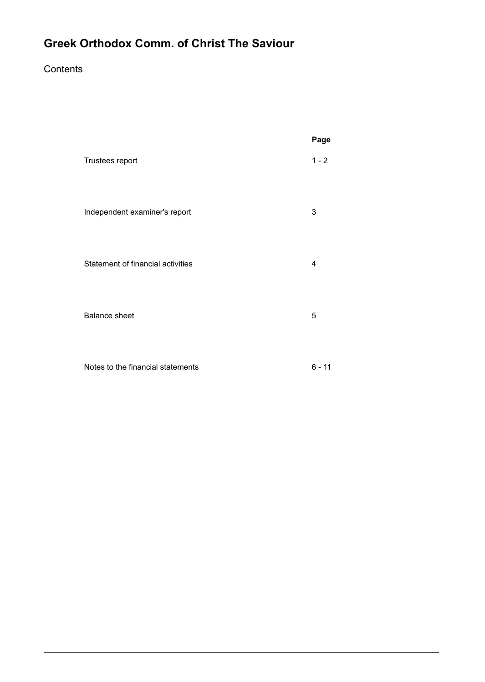### **Contents**

|                                   | Page     |
|-----------------------------------|----------|
| Trustees report                   | $1 - 2$  |
| Independent examiner's report     | 3        |
| Statement of financial activities | 4        |
| <b>Balance sheet</b>              | 5        |
| Notes to the financial statements | $6 - 11$ |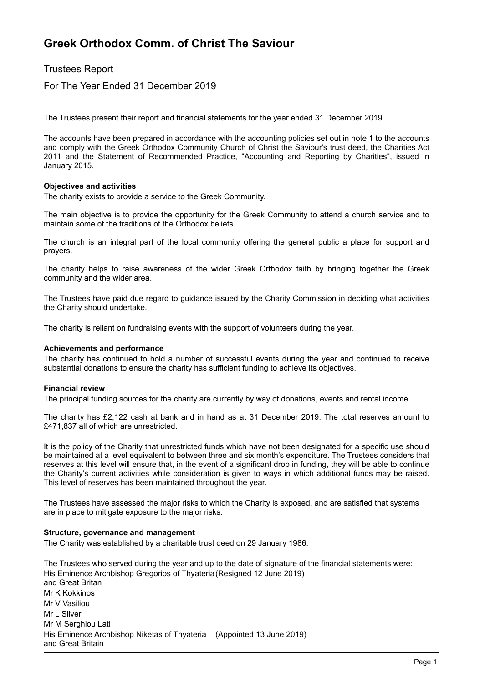### Trustees Report

For The Year Ended 31 December 2019

The Trustees present their report and financial statements for the year ended 31 December 2019.

The accounts have been prepared in accordance with the accounting policies set out in note 1 to the accounts and comply with the Greek Orthodox Community Church of Christ the Saviour's trust deed, the Charities Act 2011 and the Statement of Recommended Practice, "Accounting and Reporting by Charities", issued in January 2015.

#### **Objectives and activities**

The charity exists to provide a service to the Greek Community.

The main objective is to provide the opportunity for the Greek Community to attend a church service and to maintain some of the traditions of the Orthodox beliefs.

The church is an integral part of the local community offering the general public a place for support and prayers.

The charity helps to raise awareness of the wider Greek Orthodox faith by bringing together the Greek community and the wider area.

The Trustees have paid due regard to guidance issued by the Charity Commission in deciding what activities the Charity should undertake.

The charity is reliant on fundraising events with the support of volunteers during the year.

#### **Achievements and performance**

The charity has continued to hold a number of successful events during the year and continued to receive substantial donations to ensure the charity has sufficient funding to achieve its objectives.

#### **Financial review**

The principal funding sources for the charity are currently by way of donations, events and rental income.

The charity has £2,122 cash at bank and in hand as at 31 December 2019. The total reserves amount to £471,837 all of which are unrestricted.

It is the policy of the Charity that unrestricted funds which have not been designated for a specific use should be maintained at a level equivalent to between three and six month's expenditure. The Trustees considers that reserves at this level will ensure that, in the event of a significant drop in funding, they will be able to continue the Charity's current activities while consideration is given to ways in which additional funds may be raised. This level of reserves has been maintained throughout the year.

The Trustees have assessed the major risks to which the Charity is exposed, and are satisfied that systems are in place to mitigate exposure to the major risks.

#### **Structure, governance and management**

The Charity was established by a charitable trust deed on 29 January 1986.

The Trustees who served during the year and up to the date of signature of the financial statements were: His Eminence Archbishop Gregorios of Thyateria (Resigned 12 June 2019) and Great Britan Mr K Kokkinos Mr V Vasiliou Mr L Silver Mr M Serghiou Lati His Eminence Archbishop Niketas of Thyateria (Appointed 13 June 2019)and Great Britain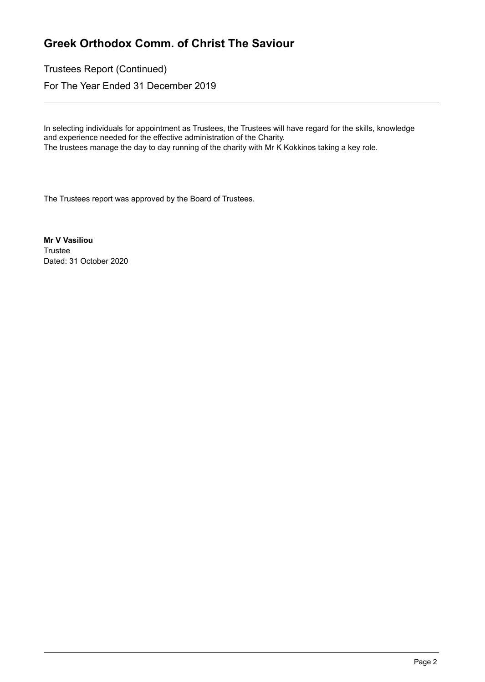Trustees Report (Continued)

For The Year Ended 31 December 2019

In selecting individuals for appointment as Trustees, the Trustees will have regard for the skills, knowledge and experience needed for the effective administration of the Charity.

The trustees manage the day to day running of the charity with Mr K Kokkinos taking a key role.

The Trustees report was approved by the Board of Trustees.

**Mr V Vasiliou Trustee** Dated: 31 October 2020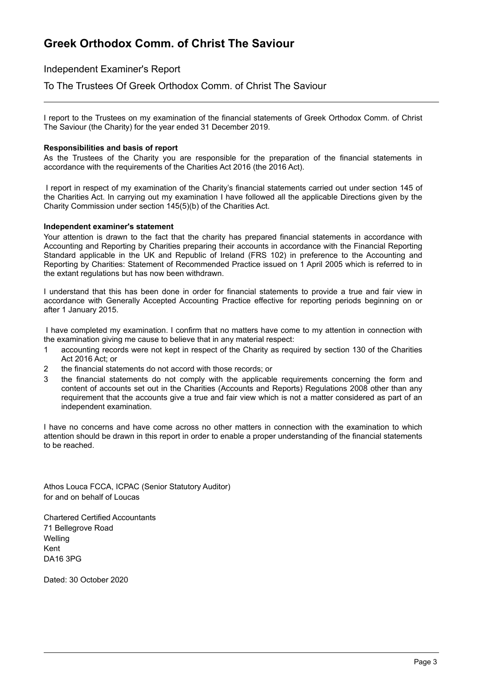Independent Examiner's Report

To The Trustees Of Greek Orthodox Comm. of Christ The Saviour

I report to the Trustees on my examination of the financial statements of Greek Orthodox Comm. of Christ The Saviour (the Charity) for the year ended 31 December 2019.

#### **Responsibilities and basis of report**

As the Trustees of the Charity you are responsible for the preparation of the financial statements in accordance with the requirements of the Charities Act 2016 (the 2016 Act).

I report in respect of my examination of the Charity's financial statements carried out under section 145 of the Charities Act. In carrying out my examination I have followed all the applicable Directions given by the Charity Commission under section 145(5)(b) of the Charities Act.

#### **Independent examiner's statement**

Your attention is drawn to the fact that the charity has prepared financial statements in accordance with Accounting and Reporting by Charities preparing their accounts in accordance with the Financial Reporting Standard applicable in the UK and Republic of Ireland (FRS 102) in preference to the Accounting and Reporting by Charities: Statement of Recommended Practice issued on 1 April 2005 which is referred to in the extant regulations but has now been withdrawn.

I understand that this has been done in order for financial statements to provide a true and fair view in accordance with Generally Accepted Accounting Practice effective for reporting periods beginning on or after 1 January 2015.

I have completed my examination. I confirm that no matters have come to my attention in connection with the examination giving me cause to believe that in any material respect:

- 1 accounting records were not kept in respect of the Charity as required by section 130 of the Charities Act 2016 Act; or
- 2 the financial statements do not accord with those records; or
- 3 the financial statements do not comply with the applicable requirements concerning the form and content of accounts set out in the Charities (Accounts and Reports) Regulations 2008 other than any requirement that the accounts give a true and fair view which is not a matter considered as part of an independent examination.

I have no concerns and have come across no other matters in connection with the examination to which attention should be drawn in this report in order to enable a proper understanding of the financial statements to be reached.

Athos Louca FCCA, ICPAC (Senior Statutory Auditor) for and on behalf of Loucas

Chartered Certified Accountants 71 Bellegrove Road **Welling** Kent DA16 3PG

Dated: 30 October 2020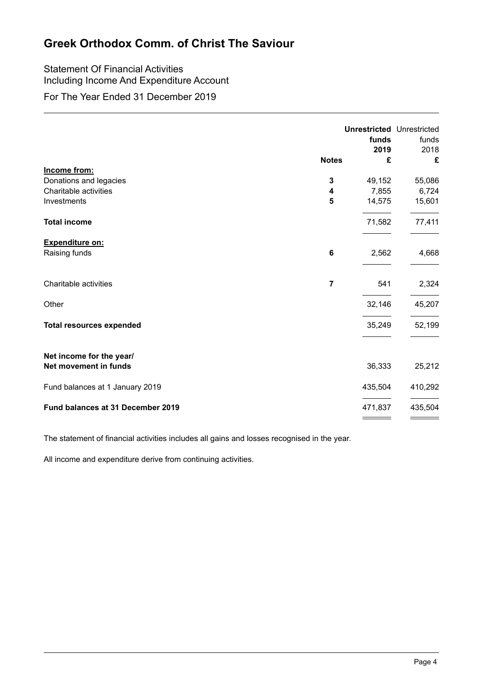### Statement Of Financial Activities Including Income And Expenditure Account

For The Year Ended 31 December 2019

|                                                   | <b>Notes</b>   | funds<br>2019<br>£ | <b>Unrestricted Unrestricted</b><br>funds<br>2018<br>£ |
|---------------------------------------------------|----------------|--------------------|--------------------------------------------------------|
| Income from:                                      |                |                    |                                                        |
| Donations and legacies                            | 3              | 49,152             | 55,086                                                 |
| Charitable activities                             | 4              | 7,855              | 6,724                                                  |
| Investments                                       | 5              | 14,575             | 15,601                                                 |
| <b>Total income</b>                               |                | 71,582             | 77,411                                                 |
| <b>Expenditure on:</b>                            |                |                    |                                                        |
| Raising funds                                     | 6              | 2,562              | 4,668                                                  |
| Charitable activities                             | $\overline{7}$ | 541                | 2,324                                                  |
| Other                                             |                | 32,146             | 45,207                                                 |
| <b>Total resources expended</b>                   |                | 35,249             | 52,199                                                 |
| Net income for the year/<br>Net movement in funds |                | 36,333             | 25,212                                                 |
| Fund balances at 1 January 2019                   |                | 435,504            | 410,292                                                |
| Fund balances at 31 December 2019                 |                | 471,837            | 435,504                                                |

The statement of financial activities includes all gains and losses recognised in the year.

All income and expenditure derive from continuing activities.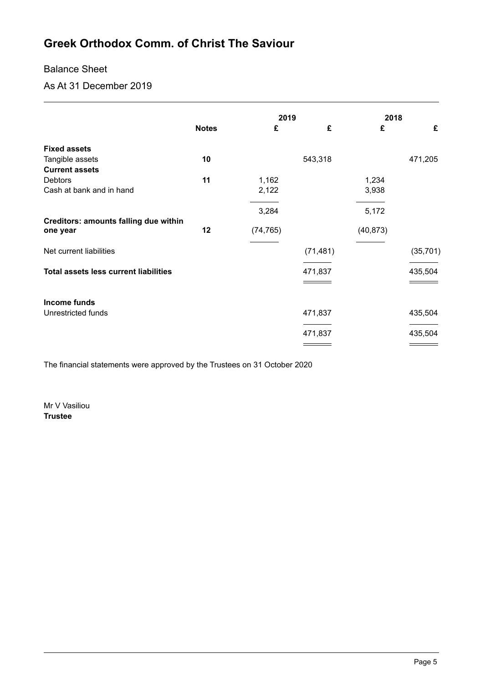### Balance Sheet

As At 31 December 2019

|                                                          |              | 2019      |           | 2018      |           |
|----------------------------------------------------------|--------------|-----------|-----------|-----------|-----------|
|                                                          | <b>Notes</b> | £         | £         | £         | £         |
| <b>Fixed assets</b>                                      |              |           |           |           |           |
| Tangible assets                                          | 10           |           | 543,318   |           | 471,205   |
| <b>Current assets</b>                                    |              |           |           |           |           |
| <b>Debtors</b>                                           | 11           | 1,162     |           | 1,234     |           |
| Cash at bank and in hand                                 |              | 2,122     |           | 3,938     |           |
|                                                          |              | 3,284     |           | 5,172     |           |
| <b>Creditors: amounts falling due within</b><br>one year | 12           | (74, 765) |           | (40, 873) |           |
| Net current liabilities                                  |              |           | (71, 481) |           | (35, 701) |
| <b>Total assets less current liabilities</b>             |              |           | 471,837   |           | 435,504   |
|                                                          |              |           |           |           |           |
| Income funds                                             |              |           |           |           |           |
| Unrestricted funds                                       |              |           | 471,837   |           | 435,504   |
|                                                          |              |           |           |           |           |
|                                                          |              |           | 471,837   |           | 435,504   |
|                                                          |              |           |           |           |           |

The financial statements were approved by the Trustees on 31 October 2020

Mr V Vasiliou **Trustee**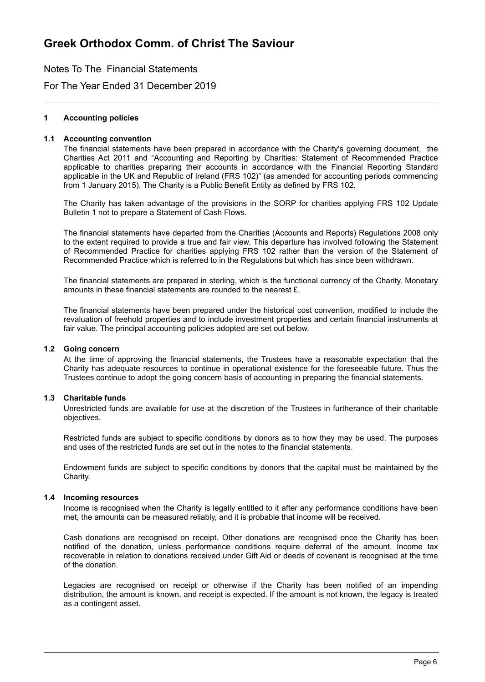Notes To The Financial Statements

For The Year Ended 31 December 2019

#### **1 Accounting policies**

#### **1.1 Accounting convention**

The financial statements have been prepared in accordance with the Charity's governing document, the Charities Act 2011 and "Accounting and Reporting by Charities: Statement of Recommended Practice applicable to charities preparing their accounts in accordance with the Financial Reporting Standard applicable in the UK and Republic of Ireland (FRS 102)" (as amended for accounting periods commencing from 1 January 2015). The Charity is a Public Benefit Entity as defined by FRS 102.

The Charity has taken advantage of the provisions in the SORP for charities applying FRS 102 Update Bulletin 1 not to prepare a Statement of Cash Flows.

The financial statements have departed from the Charities (Accounts and Reports) Regulations 2008 only to the extent required to provide a true and fair view. This departure has involved following the Statement of Recommended Practice for charities applying FRS 102 rather than the version of the Statement of Recommended Practice which is referred to in the Regulations but which has since been withdrawn.

The financial statements are prepared in sterling, which is the functional currency of the Charity. Monetary amounts in these financial statements are rounded to the nearest £.

The financial statements have been prepared under the historical cost convention, modified to include the revaluation of freehold properties and to include investment properties and certain financial instruments at fair value. The principal accounting policies adopted are set out below.

#### **1.2 Going concern**

At the time of approving the financial statements, the Trustees have a reasonable expectation that the Charity has adequate resources to continue in operational existence for the foreseeable future. Thus the Trustees continue to adopt the going concern basis of accounting in preparing the financial statements.

#### **1.3 Charitable funds**

Unrestricted funds are available for use at the discretion of the Trustees in furtherance of their charitable objectives.

Restricted funds are subject to specific conditions by donors as to how they may be used. The purposes and uses of the restricted funds are set out in the notes to the financial statements.

Endowment funds are subject to specific conditions by donors that the capital must be maintained by the Charity.

#### **1.4 Incoming resources**

Income is recognised when the Charity is legally entitled to it after any performance conditions have been met, the amounts can be measured reliably, and it is probable that income will be received.

Cash donations are recognised on receipt. Other donations are recognised once the Charity has been notified of the donation, unless performance conditions require deferral of the amount. Income tax recoverable in relation to donations received under Gift Aid or deeds of covenant is recognised at the time of the donation.

Legacies are recognised on receipt or otherwise if the Charity has been notified of an impending distribution, the amount is known, and receipt is expected. If the amount is not known, the legacy is treated as a contingent asset.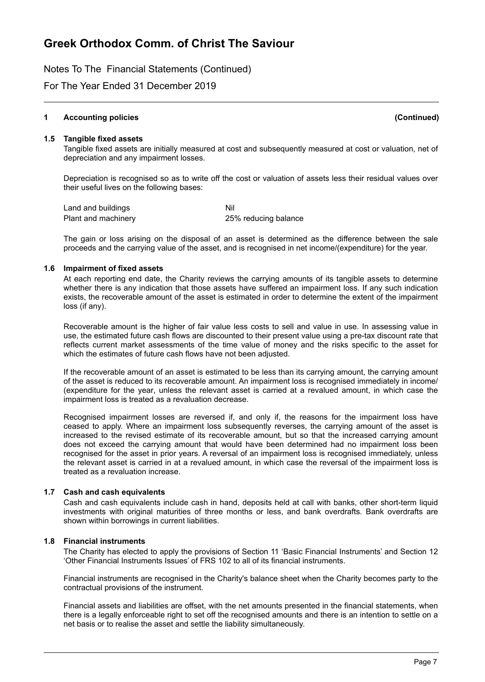Notes To The Financial Statements (Continued)

For The Year Ended 31 December 2019

#### **1 Accounting policies (Continued)**

#### **1.5 Tangible fixed assets**

Tangible fixed assets are initially measured at cost and subsequently measured at cost or valuation, net of depreciation and any impairment losses.

Depreciation is recognised so as to write off the cost or valuation of assets less their residual values over their useful lives on the following bases:

Land and buildings Nil Plant and machinery 25% reducing balance

The gain or loss arising on the disposal of an asset is determined as the difference between the sale proceeds and the carrying value of the asset, and is recognised in net income/(expenditure) for the year.

#### **1.6 Impairment of fixed assets**

At each reporting end date, the Charity reviews the carrying amounts of its tangible assets to determine whether there is any indication that those assets have suffered an impairment loss. If any such indication exists, the recoverable amount of the asset is estimated in order to determine the extent of the impairment loss (if any).

Recoverable amount is the higher of fair value less costs to sell and value in use. In assessing value in use, the estimated future cash flows are discounted to their present value using a pre-tax discount rate that reflects current market assessments of the time value of money and the risks specific to the asset for which the estimates of future cash flows have not been adjusted.

If the recoverable amount of an asset is estimated to be less than its carrying amount, the carrying amount of the asset is reduced to its recoverable amount. An impairment loss is recognised immediately in income/ (expenditure for the year, unless the relevant asset is carried at a revalued amount, in which case the impairment loss is treated as a revaluation decrease.

Recognised impairment losses are reversed if, and only if, the reasons for the impairment loss have ceased to apply. Where an impairment loss subsequently reverses, the carrying amount of the asset is increased to the revised estimate of its recoverable amount, but so that the increased carrying amount does not exceed the carrying amount that would have been determined had no impairment loss been recognised for the asset in prior years. A reversal of an impairment loss is recognised immediately, unless the relevant asset is carried in at a revalued amount, in which case the reversal of the impairment loss is treated as a revaluation increase.

#### **1.7 Cash and cash equivalents**

Cash and cash equivalents include cash in hand, deposits held at call with banks, other short-term liquid investments with original maturities of three months or less, and bank overdrafts. Bank overdrafts are shown within borrowings in current liabilities.

#### **1.8 Financial instruments**

The Charity has elected to apply the provisions of Section 11 'Basic Financial Instruments' and Section 12 'Other Financial Instruments Issues' of FRS 102 to all of its financial instruments.

Financial instruments are recognised in the Charity's balance sheet when the Charity becomes party to the contractual provisions of the instrument.

Financial assets and liabilities are offset, with the net amounts presented in the financial statements, when there is a legally enforceable right to set off the recognised amounts and there is an intention to settle on a net basis or to realise the asset and settle the liability simultaneously.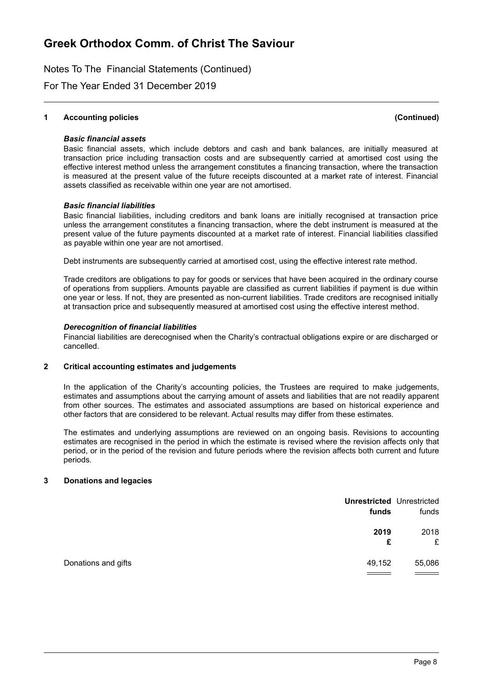Notes To The Financial Statements (Continued)

For The Year Ended 31 December 2019

#### **1 Accounting policies (Continued)**

#### *Basic financial assets*

Basic financial assets, which include debtors and cash and bank balances, are initially measured at transaction price including transaction costs and are subsequently carried at amortised cost using the effective interest method unless the arrangement constitutes a financing transaction, where the transaction is measured at the present value of the future receipts discounted at a market rate of interest. Financial assets classified as receivable within one year are not amortised.

#### *Basic financial liabilities*

Basic financial liabilities, including creditors and bank loans are initially recognised at transaction price unless the arrangement constitutes a financing transaction, where the debt instrument is measured at the present value of the future payments discounted at a market rate of interest. Financial liabilities classified as payable within one year are not amortised.

Debt instruments are subsequently carried at amortised cost, using the effective interest rate method.

Trade creditors are obligations to pay for goods or services that have been acquired in the ordinary course of operations from suppliers. Amounts payable are classified as current liabilities if payment is due within one year or less. If not, they are presented as non-current liabilities. Trade creditors are recognised initially at transaction price and subsequently measured at amortised cost using the effective interest method.

#### *Derecognition of financial liabilities*

Financial liabilities are derecognised when the Charity's contractual obligations expire or are discharged or cancelled.

#### **2 Critical accounting estimates and judgements**

In the application of the Charity's accounting policies, the Trustees are required to make judgements, estimates and assumptions about the carrying amount of assets and liabilities that are not readily apparent from other sources. The estimates and associated assumptions are based on historical experience and other factors that are considered to be relevant. Actual results may differ from these estimates.

The estimates and underlying assumptions are reviewed on an ongoing basis. Revisions to accounting estimates are recognised in the period in which the estimate is revised where the revision affects only that period, or in the period of the revision and future periods where the revision affects both current and future periods.

#### **3 Donations and legacies**

| <b>Unrestricted Unrestricted</b><br>funds | funds     |
|-------------------------------------------|-----------|
| 2019<br>£                                 | 2018<br>£ |
| Donations and gifts<br>49,152             | 55,086    |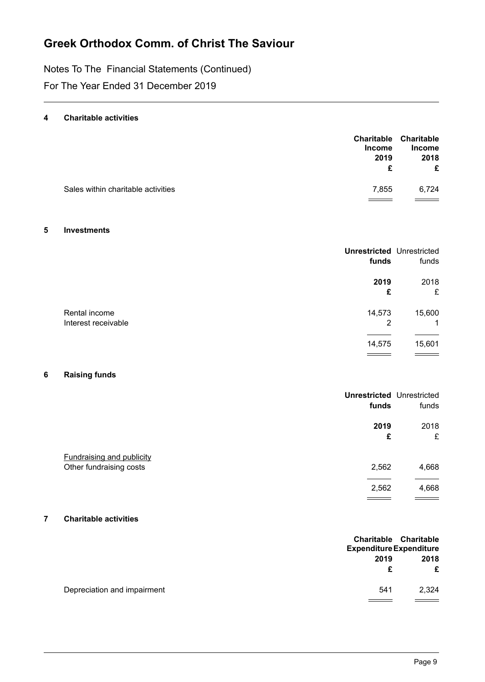Notes To The Financial Statements (Continued)

For The Year Ended 31 December 2019

#### **4 Charitable activities**

|                                    | <b>Income</b> | Charitable Charitable<br><b>Income</b> |
|------------------------------------|---------------|----------------------------------------|
|                                    | 2019          | 2018                                   |
|                                    | £             | £                                      |
| Sales within charitable activities | 7.855         | 6.724                                  |
|                                    |               |                                        |

#### **5 Investments**

|                     | <b>Unrestricted Unrestricted</b><br>funds | funds  |
|---------------------|-------------------------------------------|--------|
|                     | 2019                                      | 2018   |
|                     | £                                         | £      |
| Rental income       | 14,573                                    | 15,600 |
| Interest receivable | 2                                         | 1      |
|                     |                                           |        |
|                     | 14,575                                    | 15,601 |
|                     |                                           |        |

### **6 Raising funds**

|                                                             | <b>Unrestricted Unrestricted</b><br>funds | funds     |
|-------------------------------------------------------------|-------------------------------------------|-----------|
|                                                             | 2019<br>£                                 | 2018<br>£ |
| <b>Fundraising and publicity</b><br>Other fundraising costs | 2,562                                     | 4,668     |
|                                                             | 2,562                                     | 4,668     |

#### **7 Charitable activities**

|                             | <b>Expenditure Expenditure</b> | Charitable Charitable |
|-----------------------------|--------------------------------|-----------------------|
|                             | 2019                           | 2018                  |
|                             |                                | £                     |
| Depreciation and impairment | 541                            | 2,324                 |
|                             |                                |                       |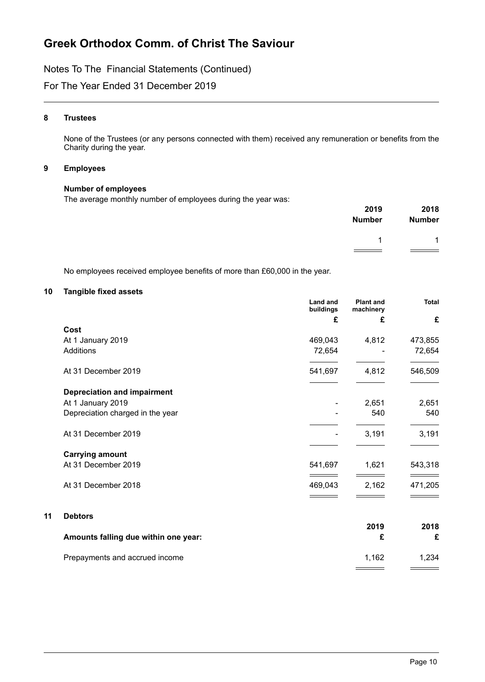Notes To The Financial Statements (Continued)

For The Year Ended 31 December 2019

#### **8 Trustees**

None of the Trustees (or any persons connected with them) received any remuneration or benefits from the Charity during the year.

#### **9 Employees**

#### **Number of employees**

The average monthly number of employees during the year was:

| 2019          | 2018          |
|---------------|---------------|
| <b>Number</b> | <b>Number</b> |
|               | 1             |

No employees received employee benefits of more than £60,000 in the year.

#### **10 Tangible fixed assets**

**11 Debtors**

| <b>Land and</b> | <b>Plant and</b><br>machinery | Total   |
|-----------------|-------------------------------|---------|
| £               | £                             | £       |
|                 |                               |         |
| 469,043         | 4,812                         | 473,855 |
| 72,654          |                               | 72,654  |
| 541,697         | 4,812                         | 546,509 |
|                 |                               |         |
|                 | 2,651                         | 2,651   |
|                 | 540                           | 540     |
|                 | 3,191                         | 3,191   |
|                 |                               |         |
| 541,697         | 1,621                         | 543,318 |
| 469,043         | 2,162                         | 471,205 |
|                 |                               |         |
|                 |                               | 2018    |
|                 | £                             | £       |
|                 | 1,162                         | 1,234   |
|                 | buildings                     | 2019    |